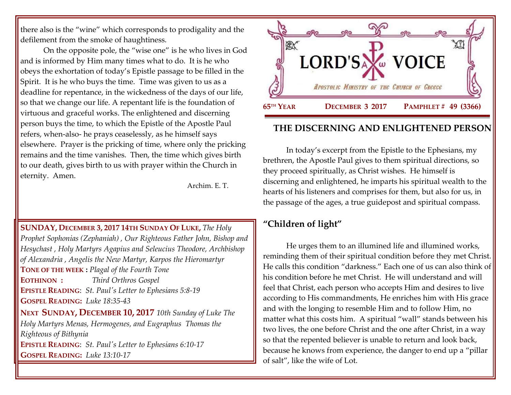there also is the "wine" which corresponds to prodigality and the defilement from the smoke of haughtiness.

On the opposite pole, the "wise one" is he who lives in God and is informed by Him many times what to do. It is he who obeys the exhortation of today's Epistle passage to be filled in the Spirit. It is he who buys the time. Time was given to us as a deadline for repentance, in the wickedness of the days of our life, so that we change our life. A repentant life is the foundation of virtuous and graceful works. The enlightened and discerning person buys the time, to which the Epistle of the Apostle Paul refers, when-also- he prays ceaselessly, as he himself says elsewhere. Prayer is the pricking of time, where only the pricking remains and the time vanishes. Then, the time which gives birth to our death, gives birth to us with prayer within the Church in eternity. Amen.

Archim. E. T.

#### **SUNDAY, DECEMBER 3, 2017 14TH SUNDAY OF LUKE,** *The Holy*

*Prophet Sophonias (Zephaniah) , Our Righteous Father John, Bishop and Hesychast , Holy Martyrs Agapius and Seleucius Theodore, Archbishop of Alexandria , Angelis the New Martyr, Karpos the Hieromartyr* **TONE OF THE WEEK :** *Plagal of the Fourth Tone* **EOTHINON :** *Third Orthros Gospel* **EPISTLE READING**: *St. Paul's Letter [to Ephesians 5:8-19](https://www.goarch.org/chapel/lectionary?type=epistle&code=27&event=940&date=5/28/2017)* **GOSPEL R[EADING](https://www.goarch.org/chapel/lectionary?type=epistle&code=27&event=940&date=5/28/2017):** *Luke 18:35-43* **NEXT SUNDAY, DECEMBER 10, 2017** *[10th Sunday of Luke The](https://www.goarch.org/chapel/saints?contentid=1097&PCode=10LS&D=S&date=12/10/2017)  Holy Martyrs Menas, Hermogenes, and Eugraphus Thomas the Righteous of Bithynia* **EPISTLE READING**: *St. Paul's Letter [to Ephesians 6:10-17](https://www.goarch.org/chapel/lectionary?type=epistle&code=27&event=940&date=5/28/2017)* **GOSPEL R[EADING](https://www.goarch.org/chapel/lectionary?type=epistle&code=27&event=940&date=5/28/2017):** *Luke 13:10-17*



# **THE DISCERNING AND ENLIGHTENED PERSON**

In today's excerpt from the Epistle to the Ephesians, my brethren, the Apostle Paul gives to them spiritual directions, so they proceed spiritually, as Christ wishes. He himself is discerning and enlightened, he imparts his spiritual wealth to the hearts of his listeners and comprises for them, but also for us, in the passage of the ages, a true guidepost and spiritual compass.

# **"Children of light"**

He urges them to an illumined life and illumined works, reminding them of their spiritual condition before they met Christ. He calls this condition "darkness." Each one of us can also think of his condition before he met Christ. He will understand and will feel that Christ, each person who accepts Him and desires to live according to His commandments, He enriches him with His grace and with the longing to resemble Him and to follow Him, no matter what this costs him. A spiritual "wall" stands between his two lives, the one before Christ and the one after Christ, in a way so that the repented believer is unable to return and look back, because he knows from experience, the danger to end up a "pillar of salt", like the wife of Lot.